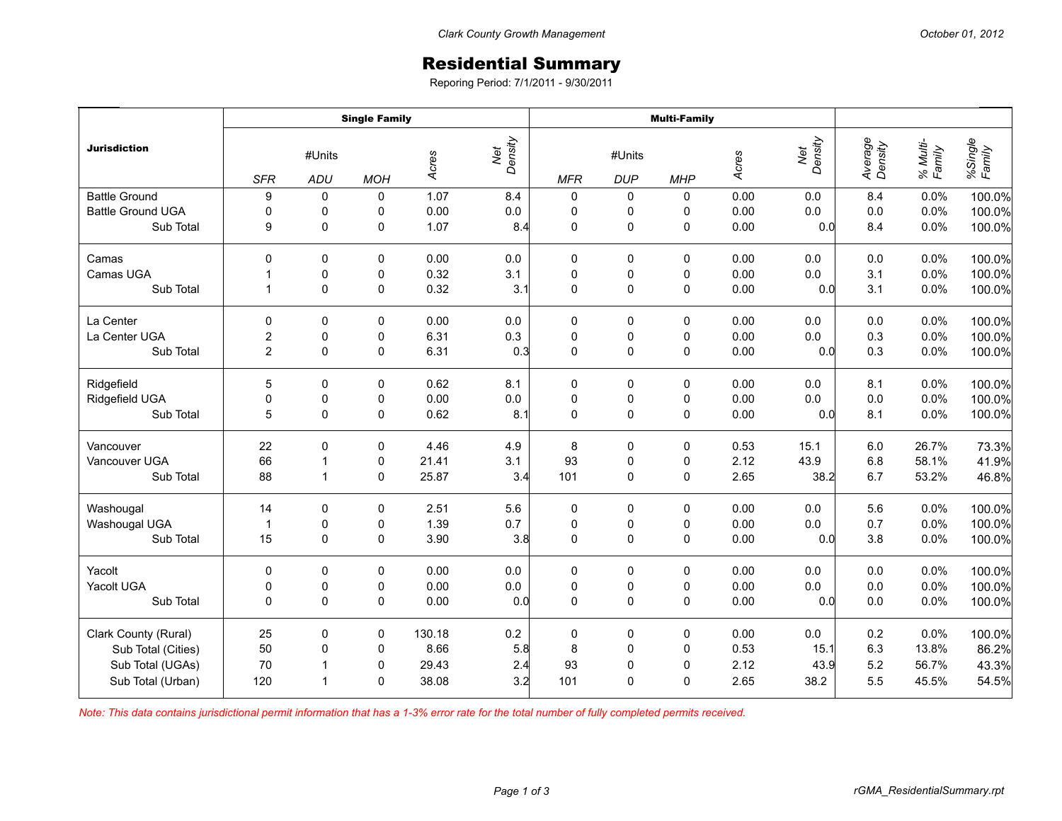## Residential Summary

Reporing Period: 7/1/2011 - 9/30/2011

|                          | <b>Single Family</b> |                         |             |        |                | <b>Multi-Family</b> |                      |             |       |                |                    |                    |                   |
|--------------------------|----------------------|-------------------------|-------------|--------|----------------|---------------------|----------------------|-------------|-------|----------------|--------------------|--------------------|-------------------|
| <b>Jurisdiction</b>      | <b>SFR</b>           | #Units<br>ADU           | <b>MOH</b>  | Acres  | Net<br>Density | <b>MFR</b>          | #Units<br><b>DUP</b> | <b>MHP</b>  | Acres | Net<br>Density | Average<br>Density | % Multi-<br>Family | %Single<br>Family |
| <b>Battle Ground</b>     | 9                    | 0                       | 0           | 1.07   | 8.4            | 0                   | 0                    | 0           | 0.00  | 0.0            | 8.4                | 0.0%               | 100.0%            |
| <b>Battle Ground UGA</b> | $\mathbf 0$          | 0                       | 0           | 0.00   | 0.0            | $\pmb{0}$           | 0                    | 0           | 0.00  | 0.0            | $0.0\,$            | 0.0%               | 100.0%            |
| Sub Total                | 9                    | $\mathbf 0$             | 0           | 1.07   | 8.4            | 0                   | $\pmb{0}$            | $\mathbf 0$ | 0.00  | 0.0            | 8.4                | 0.0%               | 100.0%            |
| Camas                    | $\mathbf{0}$         | $\mathbf 0$             | 0           | 0.00   | 0.0            | 0                   | 0                    | 0           | 0.00  | 0.0            | 0.0                | 0.0%               | 100.0%            |
| Camas UGA                | 1                    | $\mathbf 0$             | 0           | 0.32   | 3.1            | $\pmb{0}$           | $\pmb{0}$            | 0           | 0.00  | 0.0            | 3.1                | 0.0%               | 100.0%            |
| Sub Total                | $\mathbf{1}$         | $\mathbf 0$             | 0           | 0.32   | 3.1            | $\mathbf 0$         | $\mathsf 0$          | $\pmb{0}$   | 0.00  | 0.0            | 3.1                | 0.0%               | 100.0%            |
| La Center                | $\Omega$             | $\mathbf 0$             | 0           | 0.00   | 0.0            | $\pmb{0}$           | 0                    | $\mathbf 0$ | 0.00  | 0.0            | 0.0                | 0.0%               | 100.0%            |
| La Center UGA            | $\overline{c}$       | 0                       | 0           | 6.31   | 0.3            | $\pmb{0}$           | 0                    | 0           | 0.00  | 0.0            | 0.3                | 0.0%               | 100.0%            |
| Sub Total                | $\overline{2}$       | $\mathbf{0}$            | 0           | 6.31   | 0.3            | $\Omega$            | 0                    | $\mathbf 0$ | 0.00  | 0.0            | 0.3                | 0.0%               | 100.0%            |
| Ridgefield               | 5                    | 0                       | 0           | 0.62   | 8.1            | $\pmb{0}$           | 0                    | 0           | 0.00  | 0.0            | 8.1                | 0.0%               | 100.0%            |
| Ridgefield UGA           | $\pmb{0}$            | $\pmb{0}$               | 0           | 0.00   | $0.0\,$        | $\mathbf 0$         | $\pmb{0}$            | $\pmb{0}$   | 0.00  | 0.0            | 0.0                | 0.0%               | 100.0%            |
| Sub Total                | 5                    | $\mathbf 0$             | $\mathbf 0$ | 0.62   | 8.1            | 0                   | 0                    | $\mathbf 0$ | 0.00  | 0.0            | 8.1                | 0.0%               | 100.0%            |
| Vancouver                | 22                   | 0                       | 0           | 4.46   | 4.9            | 8                   | 0                    | 0           | 0.53  | 15.1           | 6.0                | 26.7%              | 73.3%             |
| Vancouver UGA            | 66                   | $\overline{\mathbf{1}}$ | 0           | 21.41  | 3.1            | 93                  | $\pmb{0}$            | 0           | 2.12  | 43.9           | $6.8\,$            | 58.1%              | 41.9%             |
| Sub Total                | 88                   | $\overline{1}$          | 0           | 25.87  | 3.4            | 101                 | $\mathsf 0$          | $\mathsf 0$ | 2.65  | 38.2           | 6.7                | 53.2%              | 46.8%             |
| Washougal                | 14                   | 0                       | 0           | 2.51   | 5.6            | 0                   | 0                    | 0           | 0.00  | 0.0            | 5.6                | 0.0%               | 100.0%            |
| Washougal UGA            | $\mathbf{1}$         | 0                       | 0           | 1.39   | 0.7            | $\pmb{0}$           | $\pmb{0}$            | 0           | 0.00  | 0.0            | 0.7                | 0.0%               | 100.0%            |
| Sub Total                | 15                   | 0                       | 0           | 3.90   | 3.8            | $\mathbf 0$         | 0                    | $\mathbf 0$ | 0.00  | 0.0            | 3.8                | 0.0%               | 100.0%            |
| Yacolt                   | 0                    | 0                       | 0           | 0.00   | 0.0            | $\pmb{0}$           | 0                    | 0           | 0.00  | 0.0            | $0.0\,$            | 0.0%               | 100.0%            |
| Yacolt UGA               | $\pmb{0}$            | $\mathbf 0$             | $\pmb{0}$   | 0.00   | $0.0\,$        | $\pmb{0}$           | $\pmb{0}$            | $\pmb{0}$   | 0.00  | $0.0\,$        | $0.0\,$            | 0.0%               | 100.0%            |
| Sub Total                | $\Omega$             | $\Omega$                | 0           | 0.00   | 0.0            | $\mathbf 0$         | 0                    | 0           | 0.00  | 0.0            | 0.0                | 0.0%               | 100.0%            |
| Clark County (Rural)     | 25                   | $\mathbf 0$             | 0           | 130.18 | 0.2            | 0                   | 0                    | $\mathbf 0$ | 0.00  | 0.0            | 0.2                | 0.0%               | 100.0%            |
| Sub Total (Cities)       | 50                   | 0                       | 0           | 8.66   | 5.8            | 8                   | $\pmb{0}$            | 0           | 0.53  | 15.1           | 6.3                | 13.8%              | 86.2%             |
| Sub Total (UGAs)         | 70                   | -1                      | 0           | 29.43  | 2.4            | 93                  | $\pmb{0}$            | $\mathbf 0$ | 2.12  | 43.9           | 5.2                | 56.7%              | 43.3%             |
| Sub Total (Urban)        | 120                  | $\overline{1}$          | 0           | 38.08  | 3.2            | 101                 | 0                    | 0           | 2.65  | 38.2           | 5.5                | 45.5%              | 54.5%             |

*Note: This data contains jurisdictional permit information that has a 1-3% error rate for the total number of fully completed permits received.*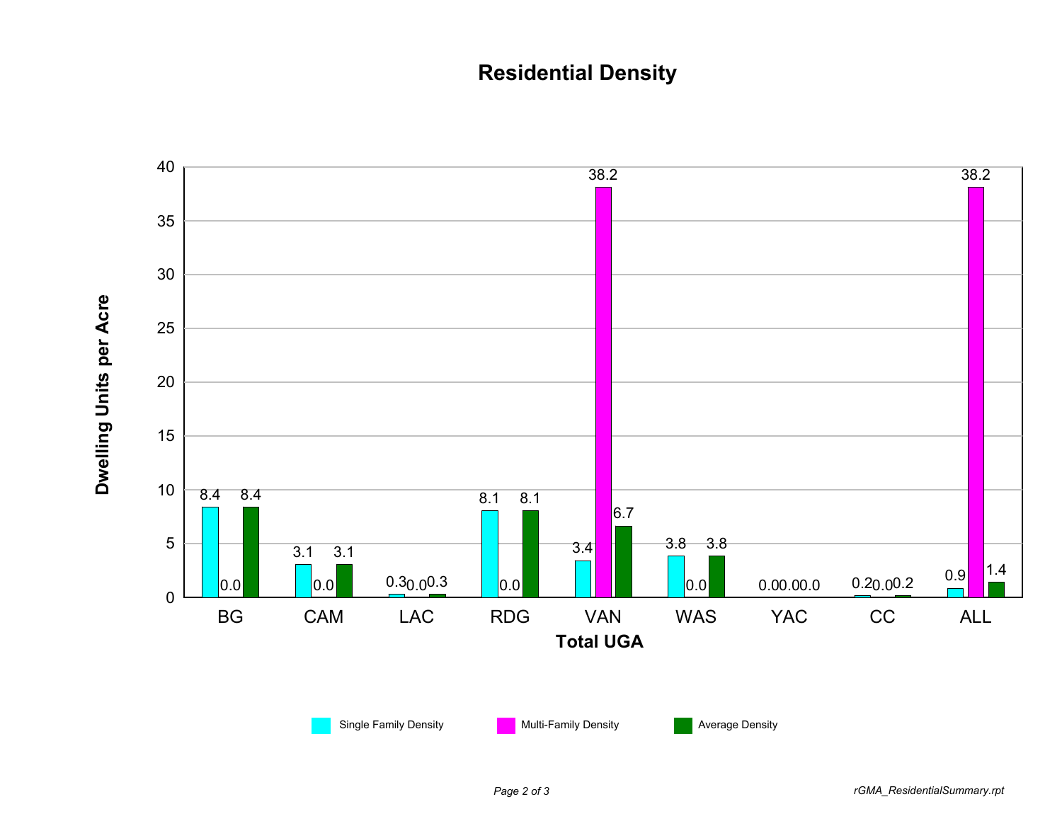## **Residential Density**